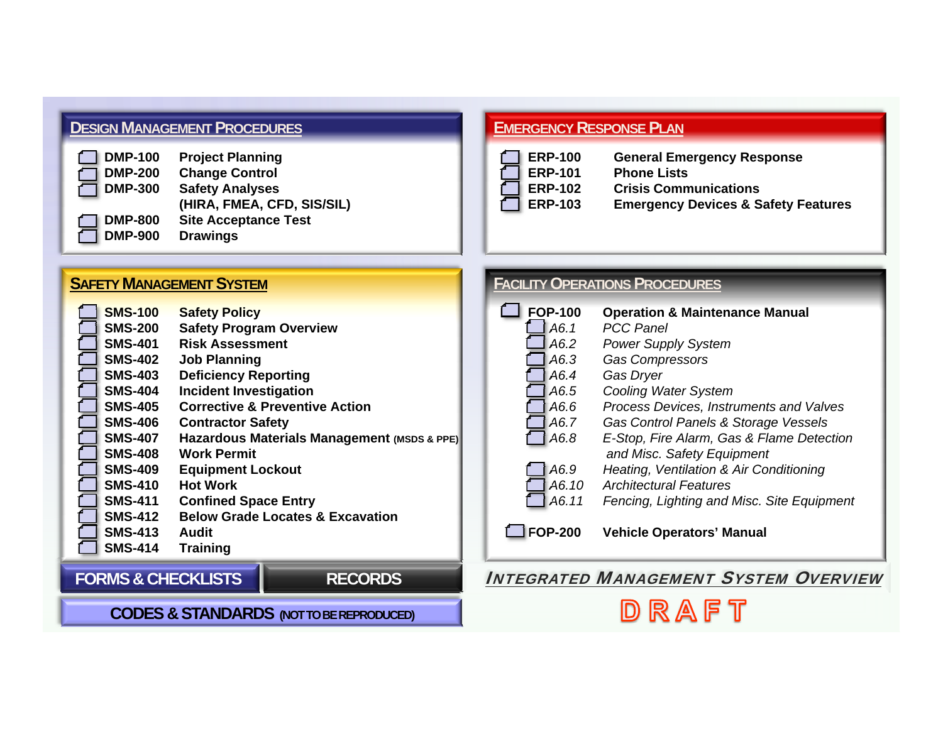# **DESIGN MANAGEMENTPROCEDURES**

| <b>Project Planning</b>     |
|-----------------------------|
| <b>Change Control</b>       |
| <b>Safety Analyses</b>      |
| (HIRA, FMEA, CFD, SIS/SIL)  |
| <b>Site Acceptance Test</b> |
| <b>Drawings</b>             |
|                             |

# **EMERGENCYRESPONSE PLAN**

| $\Box$ ERP-100 | <b>General Emergency Response</b>              |
|----------------|------------------------------------------------|
| $\Box$ ERP-101 | <b>Phone Lists</b>                             |
| $\Box$ ERP-102 | <b>Crisis Communications</b>                   |
| $\Box$ ERP-103 | <b>Emergency Devices &amp; Safety Features</b> |

#### **FACILITYOPERATIONS PROCEDURES FOP-100 Operation & Maintenance Manual** *A6.1 PCC PanelA6.2 Power Supply System A6.3 Gas Compressors A6.4 Gas Dryer A6.5 Cooling Water System A6.6 Process Devices, Instruments and Valves A6.7 Gas Control Panels & Storage Vessels A6.8 E-Stop, Fire Alarm, Gas & Flame Detection and Misc. Safety Equipment A6.9 Heating, Ventilation & Air Conditioning A6.10 Architectural FeaturesA6.11 Fencing, Lighting and Misc. Site Equipment* **FOP-200 Vehicle Operators' Manual** INTEGRATED MANAGEMENT SYSTEM OVERVIEW**SAFETY MANAGEMENT SYSTEM SMS-100 Safety Policy SMS-200 Safety Program Overview SMS-401 Risk AssessmentSMS-402 Job Planning SMS-403 Deficiency Reporting SMS-404 Incident Investigation SMS-405 Corrective & Preventive ActionSMS-406 Contractor Safety SMS-407 Hazardous Materials Management (MSDS & PPE) SMS-408 Work PermitSMS-409 Equipment Lockout SMS-410 Hot WorkSMS-411 Confined Space Entry SMS-412 Below Grade Locates & ExcavationSMS-413 AuditSMS-414 Training FORMS & CHECKLISTSRECORDS**

# **CODES & STANDARDS (NOT TO BE REPRODUCED)**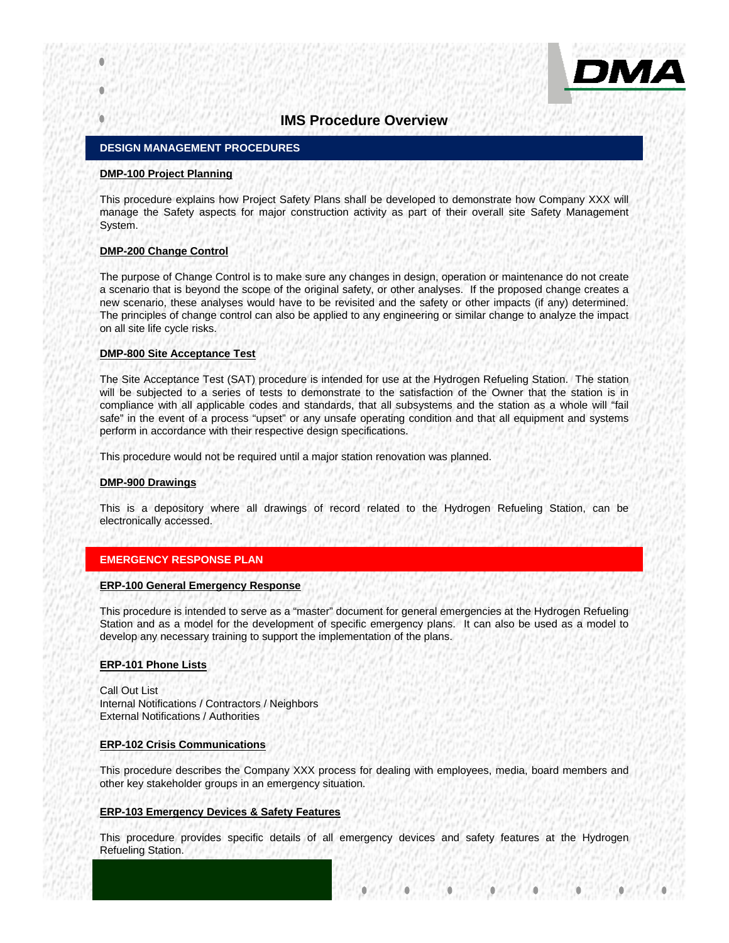

## **IMS Procedure Overview**

### **DESIGN MANAGEMENT PROCEDURES**

#### **DMP-100 Project Planning**

This procedure explains how Project Safety Plans shall be developed to demonstrate how Company XXX will manage the Safety aspects for major construction activity as part of their overall site Safety Management System.

#### **DMP-200 Change Control**

The purpose of Change Control is to make sure any changes in design, operation or maintenance do not create a scenario that is beyond the scope of the original safety, or other analyses. If the proposed change creates a new scenario, these analyses would have to be revisited and the safety or other impacts (if any) determined. The principles of change control can also be applied to any engineering or similar change to analyze the impact on all site life cycle risks.

#### **DMP-800 Site Acceptance Test**

The Site Acceptance Test (SAT) procedure is intended for use at the Hydrogen Refueling Station. The station will be subjected to a series of tests to demonstrate to the satisfaction of the Owner that the station is in compliance with all applicable codes and standards, that all subsystems and the station as a whole will "fail safe" in the event of a process "upset" or any unsafe operating condition and that all equipment and systems perform in accordance with their respective design specifications.

This procedure would not be required until a major station renovation was planned.

#### **DMP-900 Drawings**

This is a depository where all drawings of record related to the Hydrogen Refueling Station, can be electronically accessed.

#### **EMERGENCY RESPONSE PLAN**

#### **ERP-100 General Emergency Response**

This procedure is intended to serve as a "master" document for general emergencies at the Hydrogen Refueling Station and as a model for the development of specific emergency plans. It can also be used as a model to develop any necessary training to support the implementation of the plans.

#### **ERP-101 Phone Lists**

Call Out List Internal Notifications / Contractors / Neighbors External Notifications / Authorities

#### **ERP-102 Crisis Communications**

This procedure describes the Company XXX process for dealing with employees, media, board members and other key stakeholder groups in an emergency situation.

#### **ERP-103 Emergency Devices & Safety Features**

This procedure provides specific details of all emergency devices and safety features at the Hydrogen Refueling Station.

> $\bullet$ ۵ Ċ ۵  $\bullet$

×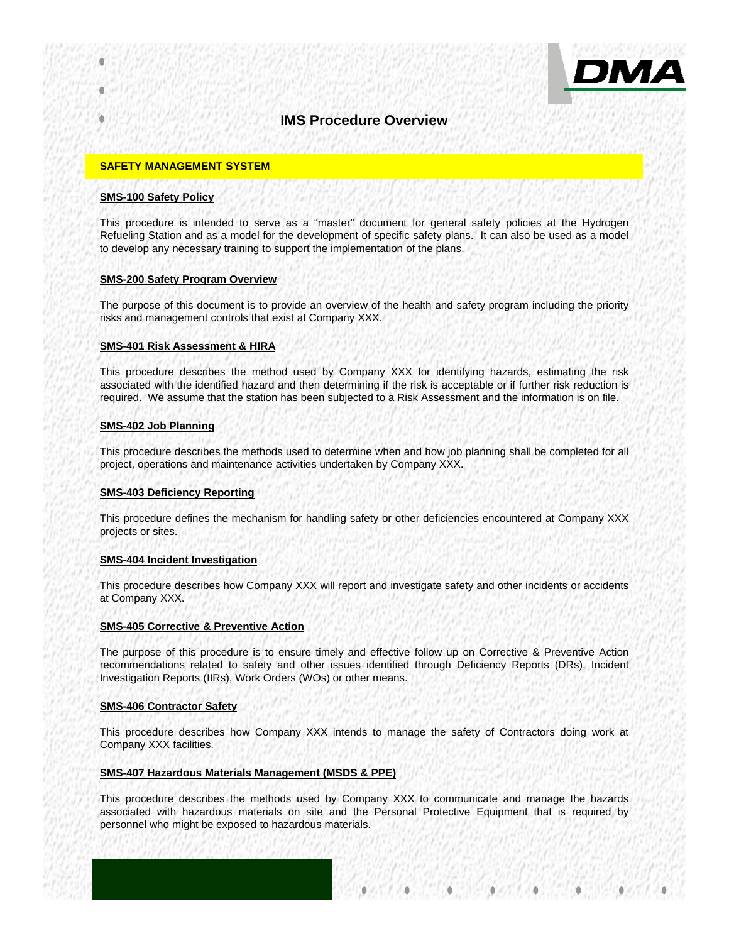

# ОМА

# **IMS Procedure Overview**

### **SAFETY MANAGEMENT SYSTEM**

#### **SMS-100 Safety Policy**

This procedure is intended to serve as a "master" document for general safety policies at the Hydrogen Refueling Station and as a model for the development of specific safety plans. It can also be used as a model to develop any necessary training to support the implementation of the plans.

#### **SMS-200 Safety Program Overview**

The purpose of this document is to provide an overview of the health and safety program including the priority risks and management controls that exist at Company XXX.

#### **SMS-401 Risk Assessment & HIRA**

This procedure describes the method used by Company XXX for identifying hazards, estimating the risk associated with the identified hazard and then determining if the risk is acceptable or if further risk reduction is required. We assume that the station has been subjected to a Risk Assessment and the information is on file.

#### **SMS-402 Job Planning**

This procedure describes the methods used to determine when and how job planning shall be completed for all project, operations and maintenance activities undertaken by Company XXX.

#### **SMS-403 Deficiency Reporting**

This procedure defines the mechanism for handling safety or other deficiencies encountered at Company XXX projects or sites.

#### **SMS-404 Incident Investigation**

This procedure describes how Company XXX will report and investigate safety and other incidents or accidents at Company XXX.

#### **SMS-405 Corrective & Preventive Action**

The purpose of this procedure is to ensure timely and effective follow up on Corrective & Preventive Action recommendations related to safety and other issues identified through Deficiency Reports (DRs), Incident Investigation Reports (IIRs), Work Orders (WOs) or other means.

#### **SMS-406 Contractor Safety**

This procedure describes how Company XXX intends to manage the safety of Contractors doing work at Company XXX facilities.

#### **SMS-407 Hazardous Materials Management (MSDS & PPE)**

This procedure describes the methods used by Company XXX to communicate and manage the hazards associated with hazardous materials on site and the Personal Protective Equipment that is required by personnel who might be exposed to hazardous materials.

 $\bullet$ 

۰

ä

 $\bullet$ 

۰

 $\bullet$ 

۵